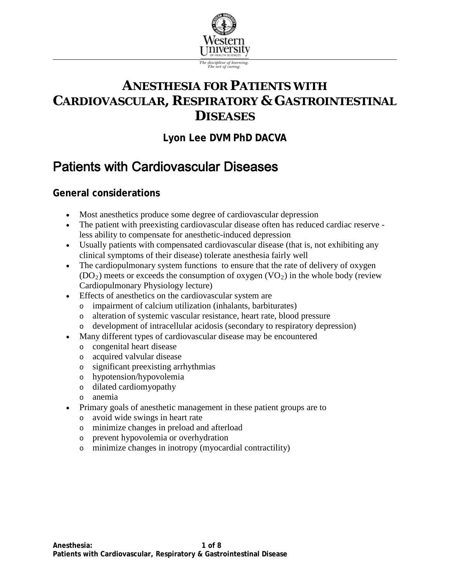

## **ANESTHESIA FOR PATIENTS WITH CARDIOVASCULAR, RESPIRATORY & GASTROINTESTINAL DISEASES**

**Lyon Lee DVM PhD DACVA**

# Patients with Cardiovascular Diseases

#### **General considerations**

- Most anesthetics produce some degree of cardiovascular depression
- The patient with preexisting cardiovascular disease often has reduced cardiac reserve less ability to compensate for anesthetic-induced depression
- Usually patients with compensated cardiovascular disease (that is, not exhibiting any clinical symptoms of their disease) tolerate anesthesia fairly well
- The cardiopulmonary system functions to ensure that the rate of delivery of oxygen  $(DO<sub>2</sub>)$  meets or exceeds the consumption of oxygen  $(VO<sub>2</sub>)$  in the whole body (review Cardiopulmonary Physiology lecture)
- Effects of anesthetics on the cardiovascular system are
	- o impairment of calcium utilization (inhalants, barbiturates)
	- o alteration of systemic vascular resistance, heart rate, blood pressure
	- o development of intracellular acidosis (secondary to respiratory depression)
	- Many different types of cardiovascular disease may be encountered
		- o congenital heart disease
		- o acquired valvular disease
		- o significant preexisting arrhythmias
		- o hypotension/hypovolemia
		- o dilated cardiomyopathy
		- o anemia
- Primary goals of anesthetic management in these patient groups are to
	- o avoid wide swings in heart rate
	- o minimize changes in preload and afterload
	- o prevent hypovolemia or overhydration
	- o minimize changes in inotropy (myocardial contractility)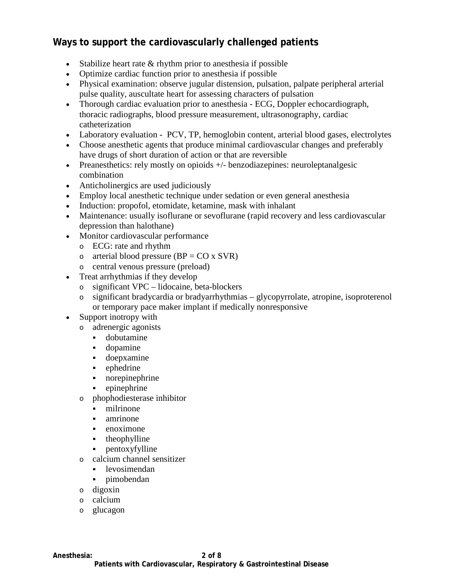### **Ways to support the cardiovascularly challenged patients**

- Stabilize heart rate & rhythm prior to anesthesia if possible
- Optimize cardiac function prior to anesthesia if possible
- Physical examination: observe jugular distension, pulsation, palpate peripheral arterial pulse quality, auscultate heart for assessing characters of pulsation
- Thorough cardiac evaluation prior to anesthesia ECG, Doppler echocardiograph, thoracic radiographs, blood pressure measurement, ultrasonography, cardiac catheterization
- Laboratory evaluation PCV, TP, hemoglobin content, arterial blood gases, electrolytes
- Choose anesthetic agents that produce minimal cardiovascular changes and preferably have drugs of short duration of action or that are reversible
- Preanesthetics: rely mostly on opioids +/- benzodiazepines: neuroleptanalgesic combination
- Anticholinergics are used judiciously
- Employ local anesthetic technique under sedation or even general anesthesia
- Induction: propofol, etomidate, ketamine, mask with inhalant
- Maintenance: usually isoflurane or sevoflurane (rapid recovery and less cardiovascular depression than halothane)
- Monitor cardiovascular performance
	- o ECG: rate and rhythm
	- o arterial blood pressure  $(BP = CO \times SVR)$
	- o central venous pressure (preload)
- Treat arrhythmias if they develop
	- o significant VPC lidocaine, beta-blockers
	- o significant bradycardia or bradyarrhythmias glycopyrrolate, atropine, isoproterenol or temporary pace maker implant if medically nonresponsive
- Support inotropy with
	- o adrenergic agonists
		- **-** dobutamine
		- dopamine
		- doepxamine
		- ephedrine
		- norepinephrine
		- epinephrine
	- o phophodiesterase inhibitor
		- milrinone
		- amrinone
		- enoximone
		- theophylline
		- pentoxyfylline
	- o calcium channel sensitizer
		- levosimendan
		- pimobendan
	- o digoxin
	- o calcium
	- o glucagon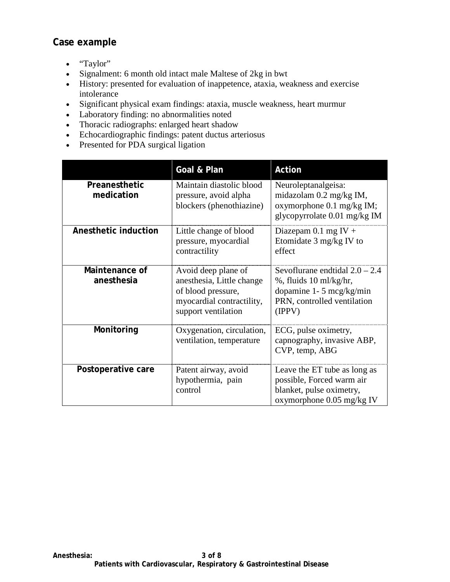#### **Case example**

- "Taylor"
- Signalment: 6 month old intact male Maltese of 2kg in bwt
- History: presented for evaluation of inappetence, ataxia, weakness and exercise intolerance
- Significant physical exam findings: ataxia, muscle weakness, heart murmur
- Laboratory finding: no abnormalities noted
- Thoracic radiographs: enlarged heart shadow
- Echocardiographic findings: patent ductus arteriosus
- Presented for PDA surgical ligation

|                              | Goal & Plan                                                                                                                | Action                                                                                                                                     |
|------------------------------|----------------------------------------------------------------------------------------------------------------------------|--------------------------------------------------------------------------------------------------------------------------------------------|
| Preanesthetic<br>medication  | Maintain diastolic blood<br>pressure, avoid alpha<br>blockers (phenothiazine)                                              | Neuroleptanalgeisa:<br>midazolam $0.2$ mg/kg IM,<br>oxymorphone 0.1 mg/kg IM;<br>glycopyrrolate 0.01 mg/kg IM                              |
| Anesthetic induction         | Little change of blood<br>pressure, myocardial<br>contractility                                                            | Diazepam $0.1$ mg IV +<br>Etomidate 3 mg/kg IV to<br>effect                                                                                |
| Maintenance of<br>anesthesia | Avoid deep plane of<br>anesthesia, Little change<br>of blood pressure,<br>myocardial contractility,<br>support ventilation | Sevoflurane endtidal $2.0 - 2.4$<br>%, fluids 10 ml/kg/hr,<br>dopamine $1 - 5 \text{ mcg/kg/min}$<br>PRN, controlled ventilation<br>(IPPV) |
| Monitoring                   | Oxygenation, circulation,<br>ventilation, temperature                                                                      | ECG, pulse oximetry,<br>capnography, invasive ABP,<br>CVP, temp, ABG                                                                       |
| Postoperative care           | Patent airway, avoid<br>hypothermia, pain<br>control                                                                       | Leave the ET tube as long as<br>possible, Forced warm air<br>blanket, pulse oximetry,<br>oxymorphone 0.05 mg/kg IV                         |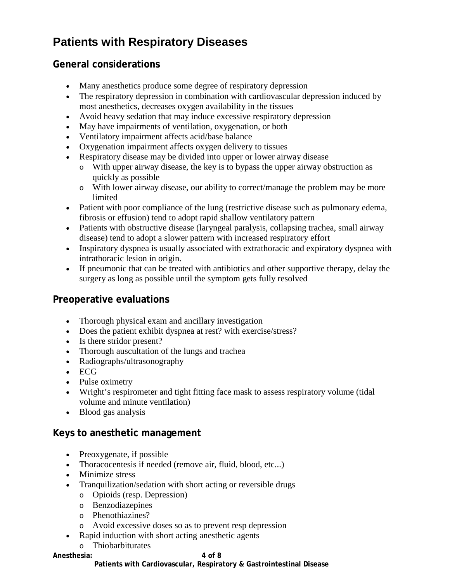## **Patients with Respiratory Diseases**

#### **General considerations**

- Many anesthetics produce some degree of respiratory depression
- The respiratory depression in combination with cardiovascular depression induced by most anesthetics, decreases oxygen availability in the tissues
- Avoid heavy sedation that may induce excessive respiratory depression
- May have impairments of ventilation, oxygenation, or both
- Ventilatory impairment affects acid/base balance
- Oxygenation impairment affects oxygen delivery to tissues
- Respiratory disease may be divided into upper or lower airway disease
	- o With upper airway disease, the key is to bypass the upper airway obstruction as quickly as possible
	- $\circ$  With lower airway disease, our ability to correct/manage the problem may be more limited
- Patient with poor compliance of the lung (restrictive disease such as pulmonary edema, fibrosis or effusion) tend to adopt rapid shallow ventilatory pattern
- Patients with obstructive disease (laryngeal paralysis, collapsing trachea, small airway disease) tend to adopt a slower pattern with increased respiratory effort
- Inspiratory dyspnea is usually associated with extrathoracic and expiratory dyspnea with intrathoracic lesion in origin.
- If pneumonic that can be treated with antibiotics and other supportive therapy, delay the surgery as long as possible until the symptom gets fully resolved

#### **Preoperative evaluations**

- Thorough physical exam and ancillary investigation
- Does the patient exhibit dyspnea at rest? with exercise/stress?
- Is there stridor present?
- Thorough auscultation of the lungs and trachea
- Radiographs/ultrasonography
- ECG
- Pulse oximetry
- Wright's respirometer and tight fitting face mask to assess respiratory volume (tidal volume and minute ventilation)
- Blood gas analysis

#### **Keys to anesthetic management**

- Preoxygenate, if possible
- Thoracocentesis if needed (remove air, fluid, blood, etc...)
- Minimize stress
- Tranquilization/sedation with short acting or reversible drugs
	- o Opioids (resp. Depression)
	- o Benzodiazepines
	- o Phenothiazines?
	- o Avoid excessive doses so as to prevent resp depression
- Rapid induction with short acting anesthetic agents

### o Thiobarbiturates

#### **Anesthesia: 4 of 8**

**Patients with Cardiovascular, Respiratory & Gastrointestinal Disease**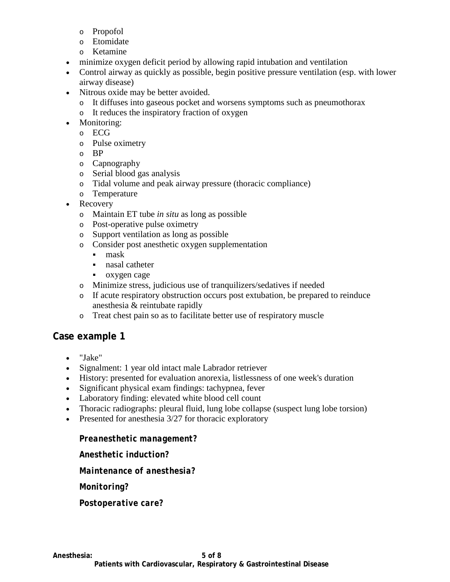- o Propofol
- o Etomidate
- o Ketamine
- minimize oxygen deficit period by allowing rapid intubation and ventilation
- Control airway as quickly as possible, begin positive pressure ventilation (esp. with lower airway disease)
- Nitrous oxide may be better avoided.
	- o It diffuses into gaseous pocket and worsens symptoms such as pneumothorax
	- o It reduces the inspiratory fraction of oxygen
- Monitoring:
	- o ECG
	- o Pulse oximetry
	- o BP
	- o Capnography
	- o Serial blood gas analysis
	- o Tidal volume and peak airway pressure (thoracic compliance)
	- o Temperature
- **Recovery** 
	- o Maintain ET tube *in situ* as long as possible
	- o Post-operative pulse oximetry
	- o Support ventilation as long as possible
	- o Consider post anesthetic oxygen supplementation
		- mask
		- nasal catheter
		- oxygen cage
	- o Minimize stress, judicious use of tranquilizers/sedatives if needed
	- o If acute respiratory obstruction occurs post extubation, be prepared to reinduce anesthesia & reintubate rapidly
	- o Treat chest pain so as to facilitate better use of respiratory muscle

#### **Case example 1**

- "Jake"
- Signalment: 1 year old intact male Labrador retriever
- History: presented for evaluation anorexia, listlessness of one week's duration
- Significant physical exam findings: tachypnea, fever
- Laboratory finding: elevated white blood cell count
- Thoracic radiographs: pleural fluid, lung lobe collapse (suspect lung lobe torsion)
- Presented for anesthesia 3/27 for thoracic exploratory

#### *Preanesthetic management?*

*Anesthetic induction?*

*Maintenance of anesthesia?*

*Monitoring?*

*Postoperative care?*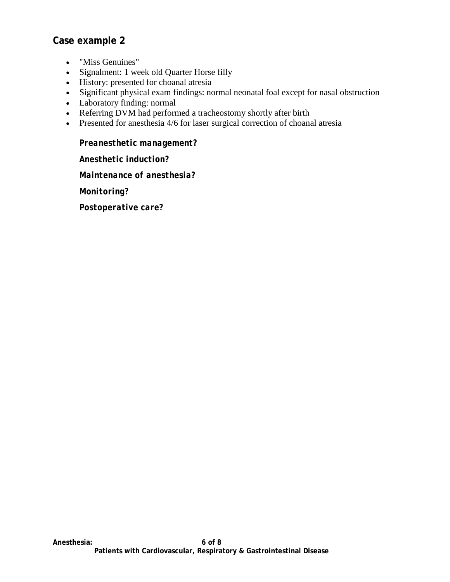#### **Case example 2**

- "Miss Genuines"
- Signalment: 1 week old Quarter Horse filly
- History: presented for choanal atresia
- Significant physical exam findings: normal neonatal foal except for nasal obstruction
- Laboratory finding: normal
- Referring DVM had performed a tracheostomy shortly after birth
- Presented for anesthesia 4/6 for laser surgical correction of choanal atresia

*Preanesthetic management? Anesthetic induction? Maintenance of anesthesia? Monitoring? Postoperative care?*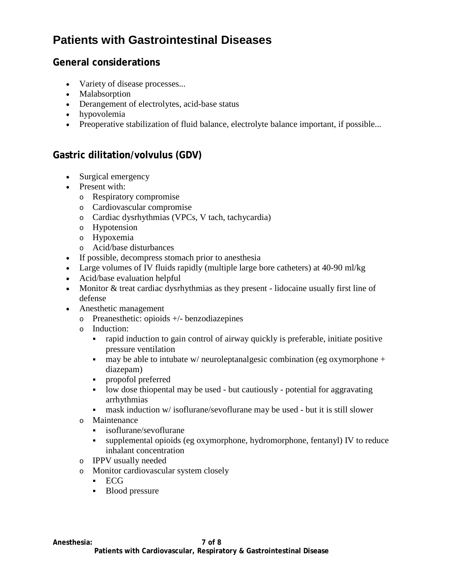### **Patients with Gastrointestinal Diseases**

#### **General considerations**

- Variety of disease processes...
- Malabsorption
- Derangement of electrolytes, acid-base status
- hypovolemia
- Preoperative stabilization of fluid balance, electrolyte balance important, if possible...

### **Gastric dilitation/volvulus (GDV)**

- Surgical emergency
- Present with:
	- o Respiratory compromise
	- o Cardiovascular compromise
	- o Cardiac dysrhythmias (VPCs, V tach, tachycardia)
	- o Hypotension
	- o Hypoxemia
	- o Acid/base disturbances
- If possible, decompress stomach prior to anesthesia
- Large volumes of IV fluids rapidly (multiple large bore catheters) at 40-90 ml/kg
- Acid/base evaluation helpful
- Monitor & treat cardiac dysrhythmias as they present lidocaine usually first line of defense
- Anesthetic management
	- o Preanesthetic: opioids +/- benzodiazepines
	- o Induction:
		- rapid induction to gain control of airway quickly is preferable, initiate positive pressure ventilation
		- may be able to intubate w/ neuroleptanalgesic combination (eg oxymorphone  $+$ diazepam)
		- propofol preferred
		- low dose thiopental may be used but cautiously potential for aggravating arrhythmias
		- mask induction w/ isoflurane/sevoflurane may be used but it is still slower
	- o Maintenance
		- isoflurane/sevoflurane
		- supplemental opioids (eg oxymorphone, hydromorphone, fentanyl) IV to reduce inhalant concentration
	- o IPPV usually needed
	- o Monitor cardiovascular system closely
		- ECG
		- Blood pressure